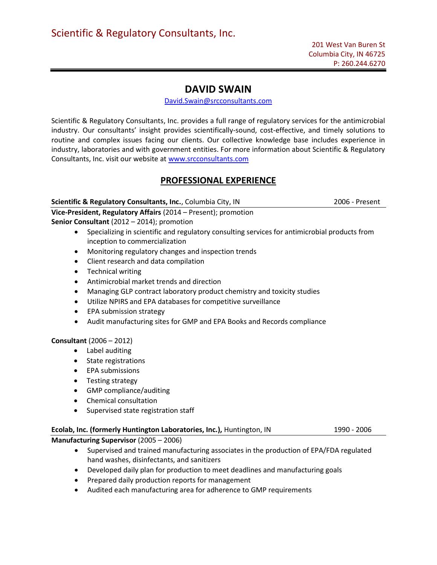# DAVID SWAIN

David.Swain@srcconsultants.com

Scientific & Regulatory Consultants, Inc. provides a full range of regulatory services for the antimicrobial industry. Our consultants' insight provides scientifically-sound, cost-effective, and timely solutions to routine and complex issues facing our clients. Our collective knowledge base includes experience in industry, laboratories and with government entities. For more information about Scientific & Regulatory Consultants, Inc. visit our website at www.srcconsultants.com

## PROFESSIONAL EXPERIENCE

## Scientific & Regulatory Consultants, Inc., Columbia City, IN 2006 - Present

Vice-President, Regulatory Affairs (2014 – Present); promotion

Senior Consultant (2012 – 2014); promotion

- Specializing in scientific and regulatory consulting services for antimicrobial products from inception to commercialization
- Monitoring regulatory changes and inspection trends
- Client research and data compilation
- Technical writing
- Antimicrobial market trends and direction
- Managing GLP contract laboratory product chemistry and toxicity studies
- Utilize NPIRS and EPA databases for competitive surveillance
- EPA submission strategy
- Audit manufacturing sites for GMP and EPA Books and Records compliance

## Consultant (2006 – 2012)

- Label auditing
- State registrations
- EPA submissions
- Testing strategy
- GMP compliance/auditing
- Chemical consultation
- Supervised state registration staff

## Ecolab, Inc. (formerly Huntington Laboratories, Inc.), Huntington, IN 1990 - 2006

Manufacturing Supervisor (2005 – 2006)

- Supervised and trained manufacturing associates in the production of EPA/FDA regulated hand washes, disinfectants, and sanitizers
- Developed daily plan for production to meet deadlines and manufacturing goals
- Prepared daily production reports for management
- Audited each manufacturing area for adherence to GMP requirements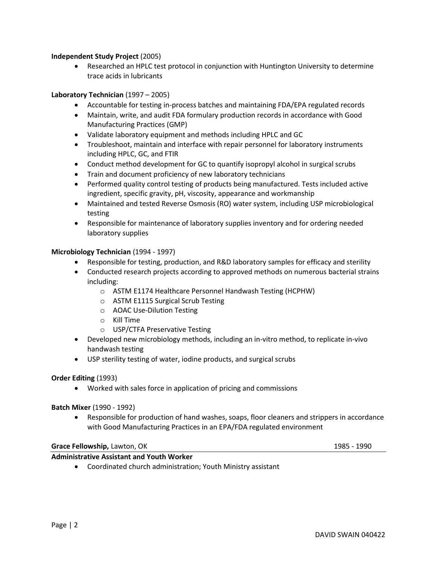## Independent Study Project (2005)

 Researched an HPLC test protocol in conjunction with Huntington University to determine trace acids in lubricants

## Laboratory Technician (1997 – 2005)

- Accountable for testing in-process batches and maintaining FDA/EPA regulated records
- Maintain, write, and audit FDA formulary production records in accordance with Good Manufacturing Practices (GMP)
- Validate laboratory equipment and methods including HPLC and GC
- Troubleshoot, maintain and interface with repair personnel for laboratory instruments including HPLC, GC, and FTIR
- Conduct method development for GC to quantify isopropyl alcohol in surgical scrubs
- Train and document proficiency of new laboratory technicians
- Performed quality control testing of products being manufactured. Tests included active ingredient, specific gravity, pH, viscosity, appearance and workmanship
- Maintained and tested Reverse Osmosis (RO) water system, including USP microbiological testing
- Responsible for maintenance of laboratory supplies inventory and for ordering needed laboratory supplies

## Microbiology Technician (1994 - 1997)

- Responsible for testing, production, and R&D laboratory samples for efficacy and sterility
- Conducted research projects according to approved methods on numerous bacterial strains including:
	- o ASTM E1174 Healthcare Personnel Handwash Testing (HCPHW)
	- o ASTM E1115 Surgical Scrub Testing
	- o AOAC Use-Dilution Testing
	- o Kill Time
	- o USP/CTFA Preservative Testing
- Developed new microbiology methods, including an in-vitro method, to replicate in-vivo handwash testing
- USP sterility testing of water, iodine products, and surgical scrubs

## Order Editing (1993)

Worked with sales force in application of pricing and commissions

## Batch Mixer (1990 - 1992)

 Responsible for production of hand washes, soaps, floor cleaners and strippers in accordance with Good Manufacturing Practices in an EPA/FDA regulated environment

#### Grace Fellowship, Lawton, OK 1985 - 1990

Administrative Assistant and Youth Worker

Coordinated church administration; Youth Ministry assistant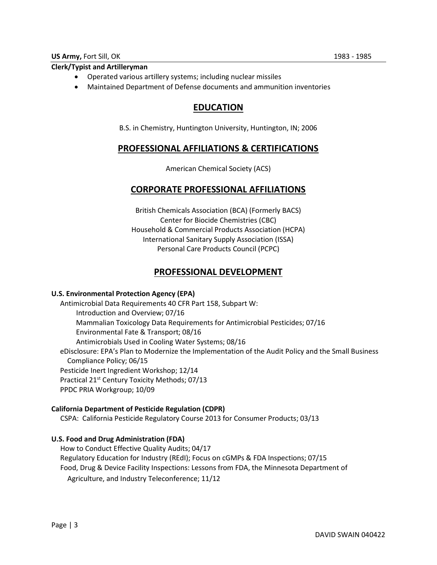## Clerk/Typist and Artilleryman

- Operated various artillery systems; including nuclear missiles
- Maintained Department of Defense documents and ammunition inventories

# EDUCATION

B.S. in Chemistry, Huntington University, Huntington, IN; 2006

## PROFESSIONAL AFFILIATIONS & CERTIFICATIONS

American Chemical Society (ACS)

## CORPORATE PROFESSIONAL AFFILIATIONS

British Chemicals Association (BCA) (Formerly BACS) Center for Biocide Chemistries (CBC) Household & Commercial Products Association (HCPA) International Sanitary Supply Association (ISSA) Personal Care Products Council (PCPC)

## PROFESSIONAL DEVELOPMENT

## U.S. Environmental Protection Agency (EPA)

Antimicrobial Data Requirements 40 CFR Part 158, Subpart W: Introduction and Overview; 07/16 Mammalian Toxicology Data Requirements for Antimicrobial Pesticides; 07/16 Environmental Fate & Transport; 08/16 Antimicrobials Used in Cooling Water Systems; 08/16 eDisclosure: EPA's Plan to Modernize the Implementation of the Audit Policy and the Small Business Compliance Policy; 06/15 Pesticide Inert Ingredient Workshop; 12/14 Practical 21<sup>st</sup> Century Toxicity Methods; 07/13 PPDC PRIA Workgroup; 10/09

## California Department of Pesticide Regulation (CDPR)

CSPA: California Pesticide Regulatory Course 2013 for Consumer Products; 03/13

## U.S. Food and Drug Administration (FDA)

 How to Conduct Effective Quality Audits; 04/17 Regulatory Education for Industry (REdI); Focus on cGMPs & FDA Inspections; 07/15 Food, Drug & Device Facility Inspections: Lessons from FDA, the Minnesota Department of Agriculture, and Industry Teleconference; 11/12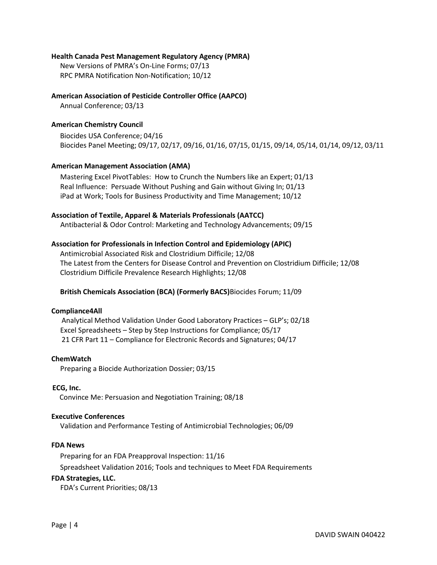### Health Canada Pest Management Regulatory Agency (PMRA)

New Versions of PMRA's On-Line Forms; 07/13 RPC PMRA Notification Non-Notification; 10/12

### American Association of Pesticide Controller Office (AAPCO)

Annual Conference; 03/13

### American Chemistry Council

Biocides USA Conference; 04/16 Biocides Panel Meeting; 09/17, 02/17, 09/16, 01/16, 07/15, 01/15, 09/14, 05/14, 01/14, 09/12, 03/11

#### American Management Association (AMA)

 Mastering Excel PivotTables: How to Crunch the Numbers like an Expert; 01/13 Real Influence: Persuade Without Pushing and Gain without Giving In; 01/13 iPad at Work; Tools for Business Productivity and Time Management; 10/12

#### Association of Textile, Apparel & Materials Professionals (AATCC)

Antibacterial & Odor Control: Marketing and Technology Advancements; 09/15

#### Association for Professionals in Infection Control and Epidemiology (APIC)

Antimicrobial Associated Risk and Clostridium Difficile; 12/08 The Latest from the Centers for Disease Control and Prevention on Clostridium Difficile; 12/08 Clostridium Difficile Prevalence Research Highlights; 12/08

#### British Chemicals Association (BCA) (Formerly BACS)Biocides Forum; 11/09

#### Compliance4All

 Analytical Method Validation Under Good Laboratory Practices – GLP's; 02/18 Excel Spreadsheets – Step by Step Instructions for Compliance; 05/17 21 CFR Part 11 – Compliance for Electronic Records and Signatures; 04/17

#### ChemWatch

Preparing a Biocide Authorization Dossier; 03/15

#### ECG, Inc.

Convince Me: Persuasion and Negotiation Training; 08/18

#### Executive Conferences

Validation and Performance Testing of Antimicrobial Technologies; 06/09

#### FDA News

Preparing for an FDA Preapproval Inspection: 11/16 Spreadsheet Validation 2016; Tools and techniques to Meet FDA Requirements

#### FDA Strategies, LLC.

FDA's Current Priorities; 08/13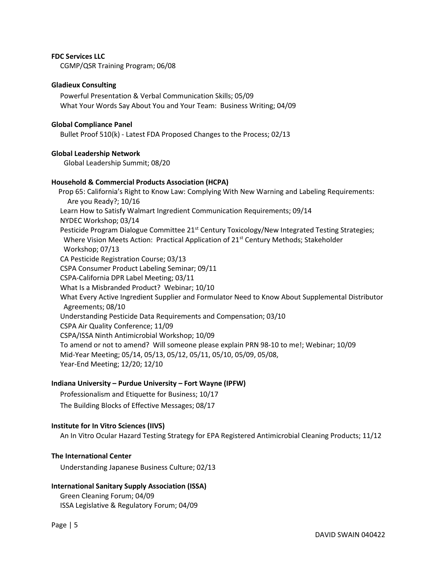#### FDC Services LLC

CGMP/QSR Training Program; 06/08

#### Gladieux Consulting

Powerful Presentation & Verbal Communication Skills; 05/09 What Your Words Say About You and Your Team: Business Writing; 04/09

#### Global Compliance Panel

Bullet Proof 510(k) - Latest FDA Proposed Changes to the Process; 02/13

#### Global Leadership Network

Global Leadership Summit; 08/20

#### Household & Commercial Products Association (HCPA)

 Prop 65: California's Right to Know Law: Complying With New Warning and Labeling Requirements: Are you Ready?; 10/16 Learn How to Satisfy Walmart Ingredient Communication Requirements; 09/14 NYDEC Workshop; 03/14 Pesticide Program Dialogue Committee 21<sup>st</sup> Century Toxicology/New Integrated Testing Strategies; Where Vision Meets Action: Practical Application of 21<sup>st</sup> Century Methods; Stakeholder Workshop; 07/13 CA Pesticide Registration Course; 03/13 CSPA Consumer Product Labeling Seminar; 09/11 CSPA-California DPR Label Meeting; 03/11 What Is a Misbranded Product? Webinar; 10/10 What Every Active Ingredient Supplier and Formulator Need to Know About Supplemental Distributor Agreements; 08/10 Understanding Pesticide Data Requirements and Compensation; 03/10 CSPA Air Quality Conference; 11/09 CSPA/ISSA Ninth Antimicrobial Workshop; 10/09 To amend or not to amend? Will someone please explain PRN 98-10 to me!; Webinar; 10/09 Mid-Year Meeting; 05/14, 05/13, 05/12, 05/11, 05/10, 05/09, 05/08, Year-End Meeting; 12/20; 12/10

#### Indiana University – Purdue University – Fort Wayne (IPFW)

Professionalism and Etiquette for Business; 10/17 The Building Blocks of Effective Messages; 08/17

#### Institute for In Vitro Sciences (IIVS)

An In Vitro Ocular Hazard Testing Strategy for EPA Registered Antimicrobial Cleaning Products; 11/12

#### The International Center

Understanding Japanese Business Culture; 02/13

## International Sanitary Supply Association (ISSA)

Green Cleaning Forum; 04/09 ISSA Legislative & Regulatory Forum; 04/09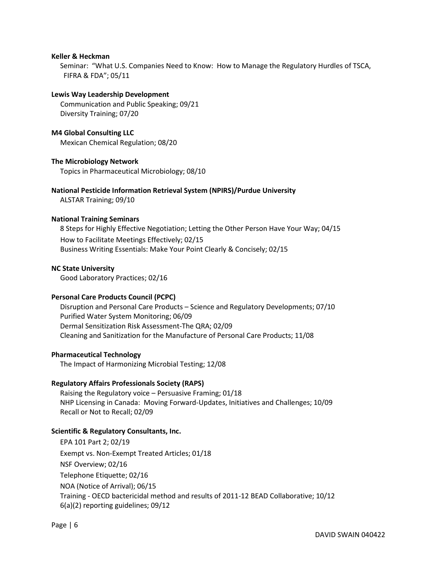#### Keller & Heckman

Seminar: "What U.S. Companies Need to Know: How to Manage the Regulatory Hurdles of TSCA, FIFRA & FDA"; 05/11

#### Lewis Way Leadership Development

 Communication and Public Speaking; 09/21 Diversity Training; 07/20

M4 Global Consulting LLC Mexican Chemical Regulation; 08/20

## The Microbiology Network

Topics in Pharmaceutical Microbiology; 08/10

#### National Pesticide Information Retrieval System (NPIRS)/Purdue University

ALSTAR Training; 09/10

#### National Training Seminars

8 Steps for Highly Effective Negotiation; Letting the Other Person Have Your Way; 04/15 How to Facilitate Meetings Effectively; 02/15 Business Writing Essentials: Make Your Point Clearly & Concisely; 02/15

#### NC State University

Good Laboratory Practices; 02/16

## Personal Care Products Council (PCPC)

Disruption and Personal Care Products – Science and Regulatory Developments; 07/10 Purified Water System Monitoring; 06/09 Dermal Sensitization Risk Assessment-The QRA; 02/09 Cleaning and Sanitization for the Manufacture of Personal Care Products; 11/08

#### Pharmaceutical Technology

The Impact of Harmonizing Microbial Testing; 12/08

## Regulatory Affairs Professionals Society (RAPS)

Raising the Regulatory voice – Persuasive Framing; 01/18 NHP Licensing in Canada: Moving Forward-Updates, Initiatives and Challenges; 10/09 Recall or Not to Recall; 02/09

## Scientific & Regulatory Consultants, Inc.

EPA 101 Part 2; 02/19 Exempt vs. Non-Exempt Treated Articles; 01/18 NSF Overview; 02/16 Telephone Etiquette; 02/16 NOA (Notice of Arrival); 06/15 Training - OECD bactericidal method and results of 2011-12 BEAD Collaborative; 10/12 6(a)(2) reporting guidelines; 09/12